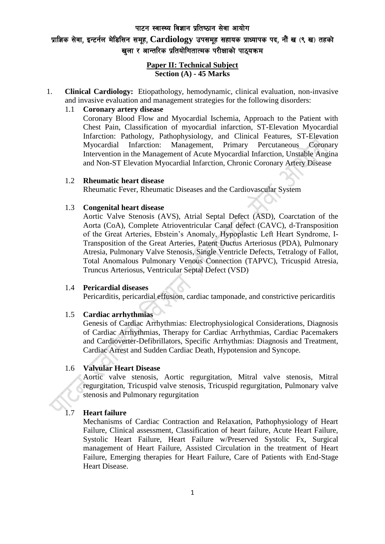#### पाटन स्वास्थ्य विज्ञान प्रतिष्ठान सेवा आयोग

# प्राज्ञिक सेवा, इन्टर्नल मेडिसिन समूह, Cardiology उपसमूह सहायक प्राध्यापक पद, नौं ख (९ ख) तहको खला र आन्तरिक प्रतियोगितात्मक परीक्षाको पाठयक्रम

#### **Paper II: Technical Subject Section (A) - 45 Marks**

1. **Clinical Cardiology:** Etiopathology, hemodynamic, clinical evaluation, non-invasive and invasive evaluation and management strategies for the following disorders:

# 1.1 **Coronary artery disease**

Coronary Blood Flow and Myocardial Ischemia, Approach to the Patient with Chest Pain, Classification of myocardial infarction, ST-Elevation Myocardial Infarction: Pathology, Pathophysiology, and Clinical Features, ST-Elevation Myocardial Infarction: Management, Primary Percutaneous Coronary Intervention in the Management of Acute Myocardial Infarction, Unstable Angina and Non-ST Elevation Myocardial Infarction, Chronic Coronary Artery Disease

### 1.2 **Rheumatic heart disease**

Rheumatic Fever, Rheumatic Diseases and the Cardiovascular System

#### 1.3 **Congenital heart disease**

Aortic Valve Stenosis (AVS), Atrial Septal Defect (ASD), Coarctation of the Aorta (CoA), Complete Atrioventricular Canal defect (CAVC), d-Transposition of the Great Arteries, Ebstein's Anomaly, Hypoplastic Left Heart Syndrome, I-Transposition of the Great Arteries, Patent Ductus Arteriosus (PDA), Pulmonary Atresia, Pulmonary Valve Stenosis, Single Ventricle Defects, Tetralogy of Fallot, Total Anomalous Pulmonary Venous Connection (TAPVC), Tricuspid Atresia, Truncus Arteriosus, Ventricular Septal Defect (VSD)

#### 1.4 **Pericardial diseases**

Pericarditis, pericardial effusion, cardiac tamponade, and constrictive pericarditis

### 1.5 **Cardiac arrhythmias**

Genesis of Cardiac Arrhythmias: Electrophysiological Considerations, Diagnosis of Cardiac Arrhythmias, Therapy for Cardiac Arrhythmias, Cardiac Pacemakers and Cardioverter-Defibrillators, Specific Arrhythmias: Diagnosis and Treatment, Cardiac Arrest and Sudden Cardiac Death, Hypotension and Syncope.

### 1.6 **Valvular Heart Disease**

Aortic valve stenosis, Aortic regurgitation, Mitral valve stenosis, Mitral regurgitation, Tricuspid valve stenosis, Tricuspid regurgitation, Pulmonary valve stenosis and Pulmonary regurgitation

### 1.7 **Heart failure**

Mechanisms of Cardiac Contraction and Relaxation, Pathophysiology of Heart Failure, Clinical assessment, Classification of heart failure, Acute Heart Failure, Systolic Heart Failure, Heart Failure w/Preserved Systolic Fx, Surgical management of Heart Failure, Assisted Circulation in the treatment of Heart Failure, Emerging therapies for Heart Failure, Care of Patients with End-Stage Heart Disease.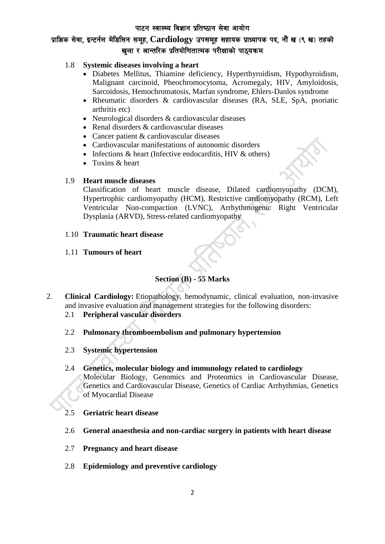## पाटन स्वास्थ्य विज्ञान प्रतिष्ठान सेवा आयोग

# yाज्ञिक सेवा. इन्टर्नल मेडिसिन समह. Cardiology उपसमह सहायक प्राध्यापक पद. नौं ख (९ ख) तहको खुला र आन्तरिक प्रतियोगितात्मक परीक्षाको पाठ्**यक्रम**

# 1.8 **Systemic diseases involving a heart**

- Diabetes Mellitus, Thiamine deficiency, Hyperthyroidism, Hypothyroidism, Malignant carcinoid, Pheochromocytoma, Acromegaly, HIV, Amyloidosis, Sarcoidosis, Hemochromatosis, Marfan syndrome, Ehlers-Danlos syndrome
- Rheumatic disorders & cardiovascular diseases (RA, SLE, SpA, psoriatic arthritis etc)
- Neurological disorders & cardiovascular diseases
- Renal disorders & cardiovascular diseases
- Cancer patient & cardiovascular diseases
- Cardiovascular manifestations of autonomic disorders
- Infections  $&$  heart (Infective endocarditis, HIV  $&$  others)
- Toxins & heart

# 1.9 **Heart muscle diseases**

Classification of heart muscle disease, Dilated cardiomyopathy (DCM), Hypertrophic cardiomyopathy (HCM), Restrictive cardiomyopathy (RCM), Left Ventricular Non-compaction (LVNC), Arrhythmogenic Right Ventricular Dysplasia (ARVD), Stress-related cardiomyopathy

1.10 **Traumatic heart disease**

# 1.11 **Tumours of heart**

# **Section (B) - 55 Marks**

- 2. **Clinical Cardiology:** Etiopathology, hemodynamic, clinical evaluation, non-invasive and invasive evaluation and management strategies for the following disorders:
	- 2.1 **Peripheral vascular disorders**
	- 2.2 **Pulmonary thromboembolism and pulmonary hypertension**
	- 2.3 **Systemic hypertension**
	- 2.4 **Genetics, molecular biology and immunology related to cardiology** Molecular Biology, Genomics and Proteomics in Cardiovascular Disease, Genetics and Cardiovascular Disease, Genetics of Cardiac Arrhythmias, Genetics of Myocardial Disease
	- 2.5 **Geriatric heart disease**
	- 2.6 **General anaesthesia and non-cardiac surgery in patients with heart disease**
	- 2.7 **Pregnancy and heart disease**
	- 2.8 **Epidemiology and preventive cardiology**